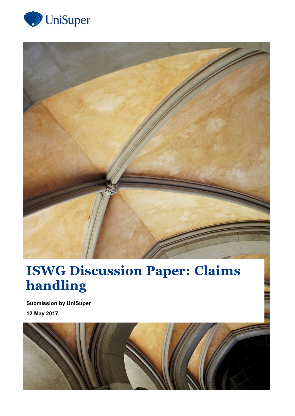



# **ISWG Discussion Paper: Claims handling**

**Submission by UniSuper 12 May 2017**

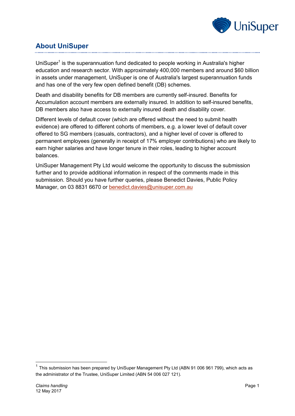

## **About UniSuper**

UniSuper<sup>1</sup> is the superannuation fund dedicated to people working in Australia's higher education and research sector. With approximately 400,000 members and around \$60 billion in assets under management, UniSuper is one of Australia's largest superannuation funds and has one of the very few open defined benefit (DB) schemes.

Death and disability benefits for DB members are currently self-insured. Benefits for Accumulation account members are externally insured. In addition to self-insured benefits, DB members also have access to externally insured death and disability cover.

Different levels of default cover (which are offered without the need to submit health evidence) are offered to different cohorts of members, e.g. a lower level of default cover offered to SG members (casuals, contractors), and a higher level of cover is offered to permanent employees (generally in receipt of 17% employer contributions) who are likely to earn higher salaries and have longer tenure in their roles, leading to higher account balances.

UniSuper Management Pty Ltd would welcome the opportunity to discuss the submission further and to provide additional information in respect of the comments made in this submission. Should you have further queries, please Benedict Davies, Public Policy Manager, on 03 8831 6670 or [benedict.davies@unisuper.com.au](mailto:benedict.davies@unisuper.com.au)

-

 $1$  This submission has been prepared by UniSuper Management Pty Ltd (ABN 91 006 961 799), which acts as the administrator of the Trustee, UniSuper Limited (ABN 54 006 027 121).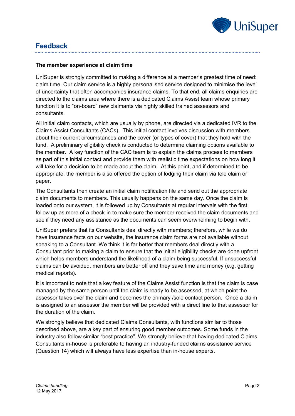

### **Feedback**

#### **The member experience at claim time**

UniSuper is strongly committed to making a difference at a member's greatest time of need: claim time. Our claim service is a highly personalised service designed to minimise the level of uncertainty that often accompanies insurance claims. To that end, all claims enquiries are directed to the claims area where there is a dedicated Claims Assist team whose primary function it is to "on-board" new claimants via highly skilled trained assessors and consultants.

All initial claim contacts, which are usually by phone, are directed via a dedicated IVR to the Claims Assist Consultants (CACs). This initial contact involves discussion with members about their current circumstances and the cover (or types of cover) that they hold with the fund. A preliminary eligibility check is conducted to determine claiming options available to the member. A key function of the CAC team is to explain the claims process to members as part of this initial contact and provide them with realistic time expectations on how long it will take for a decision to be made about the claim. At this point, and if determined to be appropriate, the member is also offered the option of lodging their claim via tele claim or paper.

The Consultants then create an initial claim notification file and send out the appropriate claim documents to members. This usually happens on the same day. Once the claim is loaded onto our system, it is followed up by Consultants at regular intervals with the first follow up as more of a check-in to make sure the member received the claim documents and see if they need any assistance as the documents can seem overwhelming to begin with.

UniSuper prefers that its Consultants deal directly with members; therefore, while we do have insurance facts on our website, the insurance claim forms are not available without speaking to a Consultant. We think it is far better that members deal directly with a Consultant prior to making a claim to ensure that the initial eligibility checks are done upfront which helps members understand the likelihood of a claim being successful. If unsuccessful claims can be avoided, members are better off and they save time and money (e.g. getting medical reports).

It is important to note that a key feature of the Claims Assist function is that the claim is case managed by the same person until the claim is ready to be assessed, at which point the assessor takes over the claim and becomes the primary /sole contact person. Once a claim is assigned to an assessor the member will be provided with a direct line to that assessor for the duration of the claim.

We strongly believe that dedicated Claims Consultants, with functions similar to those described above, are a key part of ensuring good member outcomes. Some funds in the industry also follow similar "best practice". We strongly believe that having dedicated Claims Consultants in-house is preferable to having an industry-funded claims assistance service (Question 14) which will always have less expertise than in-house experts.